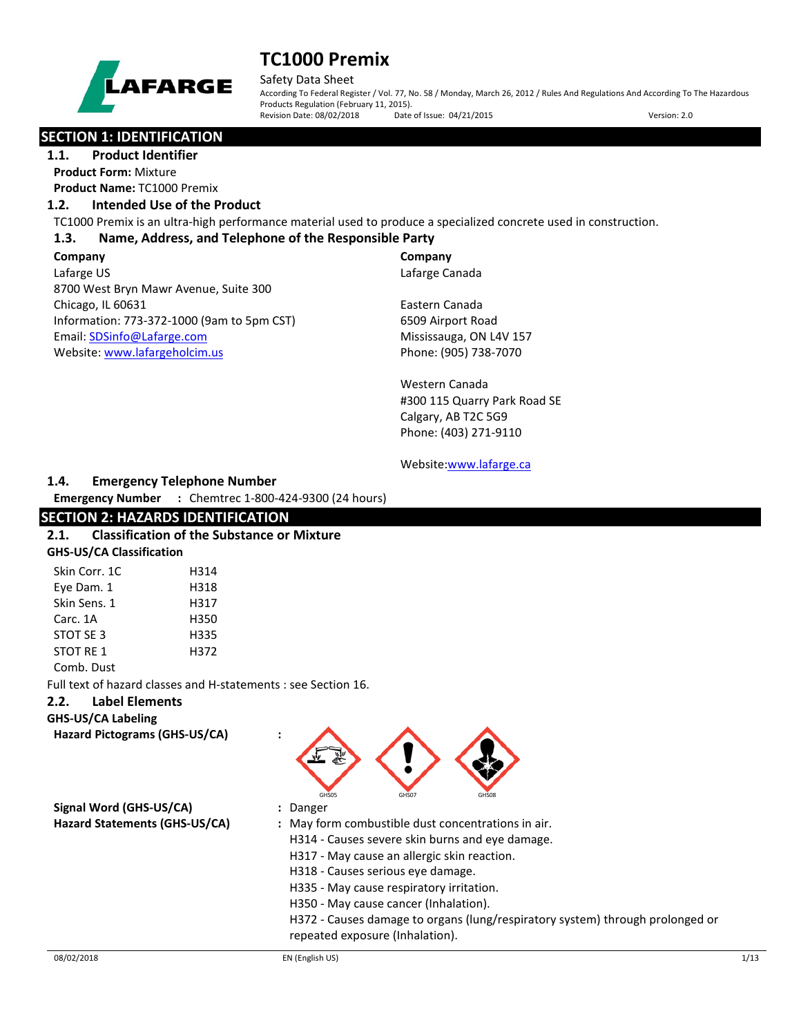

Safety Data Sheet According To Federal Register / Vol. 77, No. 58 / Monday, March 26, 2012 / Rules And Regulations And According To The Hazardous Products Regulation (February 11, 2015).<br>Revision Date: 08/02/2018 Date of Issue: 04/21/2015 Revision Date: 08/02/2018 Date of Issue: 04/21/2015 Version: 2.0

# **SECTION 1: IDENTIFICATION**

**1.1. Product Identifier Product Form:** Mixture **Product Name:** TC1000 Premix

### **1.2. Intended Use of the Product**

TC1000 Premix is an ultra-high performance material used to produce a specialized concrete used in construction.

### **1.3. Name, Address, and Telephone of the Responsible Party**

**Company**  Lafarge US 8700 West Bryn Mawr Avenue, Suite 300 Chicago, IL 60631 Information: 773-372-1000 (9am to 5pm CST) Email[: SDSinfo@Lafarge.com](file://andre/Users/jbenson/MINE/Lafarge/Batch%205/SDSinfo@Lafarge.com) Website: [www.lafargeholcim.us](file://andre/Users/jbenson/MINE/Lafarge/Batch%205/www.lafargeholcim.us)

**Company** Lafarge Canada

Eastern Canada 6509 Airport Road Mississauga, ON L4V 157 Phone: (905) 738-7070

Western Canada #300 115 Quarry Park Road SE Calgary, AB T2C 5G9 Phone: (403) 271-9110

#### Website[:www.lafarge.ca](file://andre/Users/jbenson/MINE/Lafarge/Batch%205/www.lafarge.ca)

### **1.4. Emergency Telephone Number**

**Emergency Number :** Chemtrec 1-800-424-9300 (24 hours)

### **SECTION 2: HAZARDS IDENTIFICATION**

| 2.1. | <b>Classification of the Substance or Mixture</b> |
|------|---------------------------------------------------|
|      | <b>GHS-US/CA Classification</b>                   |

| Skin Corr. 1C | H314 |
|---------------|------|
| Eye Dam. 1    | H318 |
| Skin Sens. 1  | H317 |
| Carc. 1A      | H350 |
| STOT SE 3     | H335 |
| STOT RE 1     | H372 |
|               |      |

#### Comb. Dust

Full text of hazard classes and H-statements : see Section 16.

### **2.2. Label Elements**

**GHS-US/CA Labeling Hazard Pictograms (GHS-US/CA) :**

GHS05 GHS07 GHS07 GHS08

**Signal Word (GHS-US/CA) :** Danger

- 
- **Hazard Statements (GHS-US/CA) :** May form combustible dust concentrations in air.
	- H314 Causes severe skin burns and eye damage.
	- H317 May cause an allergic skin reaction.
	- H318 Causes serious eye damage.
	- H335 May cause respiratory irritation.
	- H350 May cause cancer (Inhalation).
	- H372 Causes damage to organs (lung/respiratory system) through prolonged or repeated exposure (Inhalation).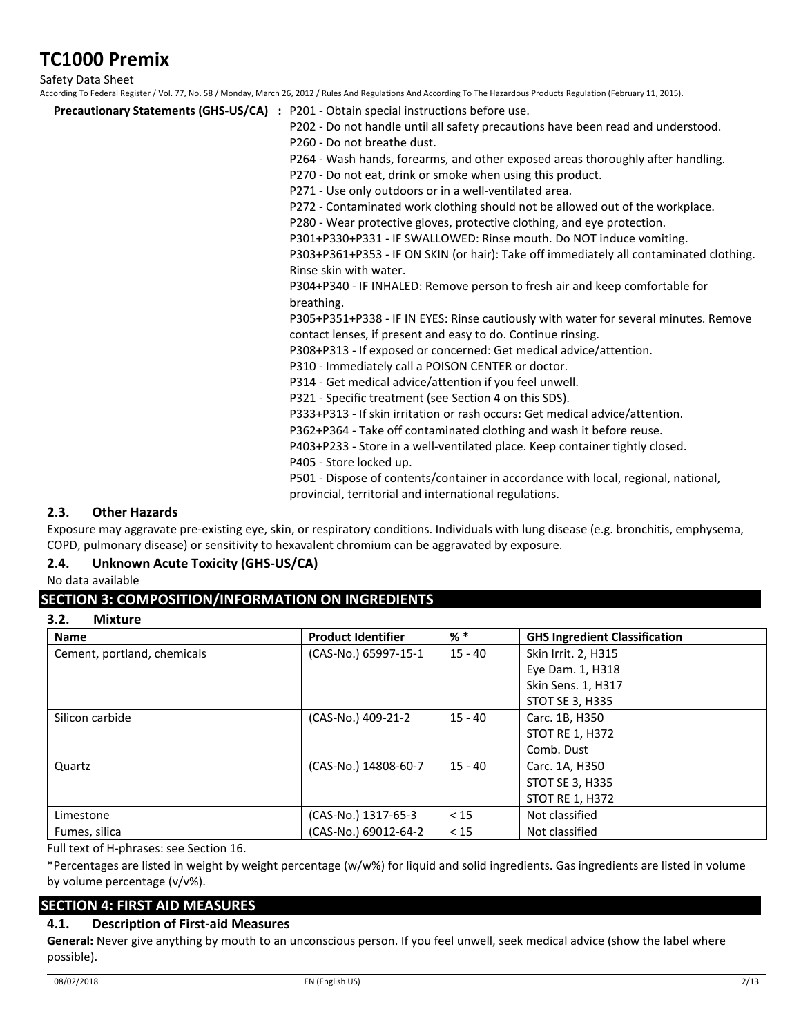Safety Data Sheet

According To Federal Register / Vol. 77, No. 58 / Monday, March 26, 2012 / Rules And Regulations And According To The Hazardous Products Regulation (February 11, 2015).

| <b>Precautionary Statements (GHS-US/CA)</b> : P201 - Obtain special instructions before use. |
|----------------------------------------------------------------------------------------------|
| P202 - Do not handle until all safety precautions have been read and understood.             |
| P260 - Do not breathe dust.                                                                  |
| P264 - Wash hands, forearms, and other exposed areas thoroughly after handling.              |
| P270 - Do not eat, drink or smoke when using this product.                                   |
| P271 - Use only outdoors or in a well-ventilated area.                                       |
| P272 - Contaminated work clothing should not be allowed out of the workplace.                |
| P280 - Wear protective gloves, protective clothing, and eye protection.                      |
| P301+P330+P331 - IF SWALLOWED: Rinse mouth. Do NOT induce vomiting.                          |
| P303+P361+P353 - IF ON SKIN (or hair): Take off immediately all contaminated clothing.       |
| Rinse skin with water.                                                                       |
| P304+P340 - IF INHALED: Remove person to fresh air and keep comfortable for                  |
| breathing.                                                                                   |
| P305+P351+P338 - IF IN EYES: Rinse cautiously with water for several minutes. Remove         |
| contact lenses, if present and easy to do. Continue rinsing.                                 |
| P308+P313 - If exposed or concerned: Get medical advice/attention.                           |
| P310 - Immediately call a POISON CENTER or doctor.                                           |
| P314 - Get medical advice/attention if you feel unwell.                                      |
| P321 - Specific treatment (see Section 4 on this SDS).                                       |
| P333+P313 - If skin irritation or rash occurs: Get medical advice/attention.                 |
| P362+P364 - Take off contaminated clothing and wash it before reuse.                         |
| P403+P233 - Store in a well-ventilated place. Keep container tightly closed.                 |
| P405 - Store locked up.                                                                      |
| P501 - Dispose of contents/container in accordance with local, regional, national,           |
| provincial, territorial and international regulations.                                       |

## **2.3. Other Hazards**

Exposure may aggravate pre-existing eye, skin, or respiratory conditions. Individuals with lung disease (e.g. bronchitis, emphysema, COPD, pulmonary disease) or sensitivity to hexavalent chromium can be aggravated by exposure.

## **2.4. Unknown Acute Toxicity (GHS-US/CA)**

No data available

# **SECTION 3: COMPOSITION/INFORMATION ON INGREDIENTS**

| <b>Name</b>                 | <b>Product Identifier</b> | $%$ $*$   | <b>GHS Ingredient Classification</b> |
|-----------------------------|---------------------------|-----------|--------------------------------------|
| Cement, portland, chemicals | (CAS-No.) 65997-15-1      | 15 - 40   | Skin Irrit. 2, H315                  |
|                             |                           |           | Eye Dam. 1, H318                     |
|                             |                           |           | Skin Sens. 1, H317                   |
|                             |                           |           | STOT SE 3, H335                      |
| Silicon carbide             | (CAS-No.) 409-21-2        | $15 - 40$ | Carc. 1B, H350                       |
|                             |                           |           | <b>STOT RE 1, H372</b>               |
|                             |                           |           | Comb. Dust                           |
| Quartz                      | (CAS-No.) 14808-60-7      | $15 - 40$ | Carc. 1A, H350                       |
|                             |                           |           | <b>STOT SE 3, H335</b>               |
|                             |                           |           | <b>STOT RE 1, H372</b>               |
| Limestone                   | (CAS-No.) 1317-65-3       | < 15      | Not classified                       |
| Fumes, silica               | (CAS-No.) 69012-64-2      | < 15      | Not classified                       |

Full text of H-phrases: see Section 16.

\*Percentages are listed in weight by weight percentage (w/w%) for liquid and solid ingredients. Gas ingredients are listed in volume by volume percentage (v/v%).

# **SECTION 4: FIRST AID MEASURES**

# **4.1. Description of First-aid Measures**

**General:** Never give anything by mouth to an unconscious person. If you feel unwell, seek medical advice (show the label where possible).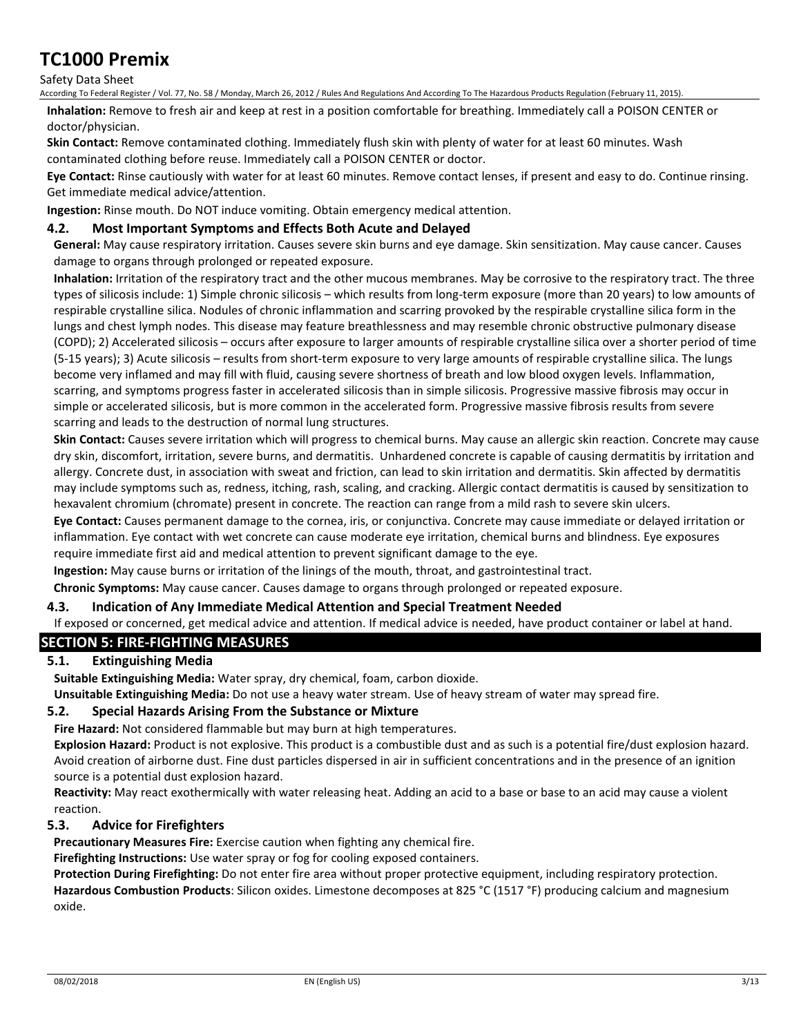### Safety Data Sheet

According To Federal Register / Vol. 77, No. 58 / Monday, March 26, 2012 / Rules And Regulations And According To The Hazardous Products Regulation (February 11, 2015).

**Inhalation:** Remove to fresh air and keep at rest in a position comfortable for breathing. Immediately call a POISON CENTER or doctor/physician.

**Skin Contact:** Remove contaminated clothing. Immediately flush skin with plenty of water for at least 60 minutes. Wash contaminated clothing before reuse. Immediately call a POISON CENTER or doctor.

**Eye Contact:** Rinse cautiously with water for at least 60 minutes. Remove contact lenses, if present and easy to do. Continue rinsing. Get immediate medical advice/attention.

**Ingestion:** Rinse mouth. Do NOT induce vomiting. Obtain emergency medical attention.

### **4.2. Most Important Symptoms and Effects Both Acute and Delayed**

**General:** May cause respiratory irritation. Causes severe skin burns and eye damage. Skin sensitization. May cause cancer. Causes damage to organs through prolonged or repeated exposure.

**Inhalation:** Irritation of the respiratory tract and the other mucous membranes. May be corrosive to the respiratory tract. The three types of silicosis include: 1) Simple chronic silicosis – which results from long-term exposure (more than 20 years) to low amounts of respirable crystalline silica. Nodules of chronic inflammation and scarring provoked by the respirable crystalline silica form in the lungs and chest lymph nodes. This disease may feature breathlessness and may resemble chronic obstructive pulmonary disease (COPD); 2) Accelerated silicosis – occurs after exposure to larger amounts of respirable crystalline silica over a shorter period of time (5-15 years); 3) Acute silicosis – results from short-term exposure to very large amounts of respirable crystalline silica. The lungs become very inflamed and may fill with fluid, causing severe shortness of breath and low blood oxygen levels. Inflammation, scarring, and symptoms progress faster in accelerated silicosis than in simple silicosis. Progressive massive fibrosis may occur in simple or accelerated silicosis, but is more common in the accelerated form. Progressive massive fibrosis results from severe scarring and leads to the destruction of normal lung structures.

**Skin Contact:** Causes severe irritation which will progress to chemical burns. May cause an allergic skin reaction. Concrete may cause dry skin, discomfort, irritation, severe burns, and dermatitis. Unhardened concrete is capable of causing dermatitis by irritation and allergy. Concrete dust, in association with sweat and friction, can lead to skin irritation and dermatitis. Skin affected by dermatitis may include symptoms such as, redness, itching, rash, scaling, and cracking. Allergic contact dermatitis is caused by sensitization to hexavalent chromium (chromate) present in concrete. The reaction can range from a mild rash to severe skin ulcers.

**Eye Contact:** Causes permanent damage to the cornea, iris, or conjunctiva. Concrete may cause immediate or delayed irritation or inflammation. Eye contact with wet concrete can cause moderate eye irritation, chemical burns and blindness. Eye exposures require immediate first aid and medical attention to prevent significant damage to the eye.

**Ingestion:** May cause burns or irritation of the linings of the mouth, throat, and gastrointestinal tract.

**Chronic Symptoms:** May cause cancer. Causes damage to organs through prolonged or repeated exposure.

### **4.3. Indication of Any Immediate Medical Attention and Special Treatment Needed**

If exposed or concerned, get medical advice and attention. If medical advice is needed, have product container or label at hand.

## **SECTION 5: FIRE-FIGHTING MEASURES**

## **5.1. Extinguishing Media**

**Suitable Extinguishing Media:** Water spray, dry chemical, foam, carbon dioxide.

**Unsuitable Extinguishing Media:** Do not use a heavy water stream. Use of heavy stream of water may spread fire.

### **5.2. Special Hazards Arising From the Substance or Mixture**

**Fire Hazard:** Not considered flammable but may burn at high temperatures.

**Explosion Hazard:** Product is not explosive. This product is a combustible dust and as such is a potential fire/dust explosion hazard. Avoid creation of airborne dust. Fine dust particles dispersed in air in sufficient concentrations and in the presence of an ignition source is a potential dust explosion hazard.

**Reactivity:** May react exothermically with water releasing heat. Adding an acid to a base or base to an acid may cause a violent reaction.

### **5.3. Advice for Firefighters**

**Precautionary Measures Fire:** Exercise caution when fighting any chemical fire.

**Firefighting Instructions:** Use water spray or fog for cooling exposed containers.

**Protection During Firefighting:** Do not enter fire area without proper protective equipment, including respiratory protection. **Hazardous Combustion Products**: Silicon oxides. Limestone decomposes at 825 °C (1517 °F) producing calcium and magnesium oxide.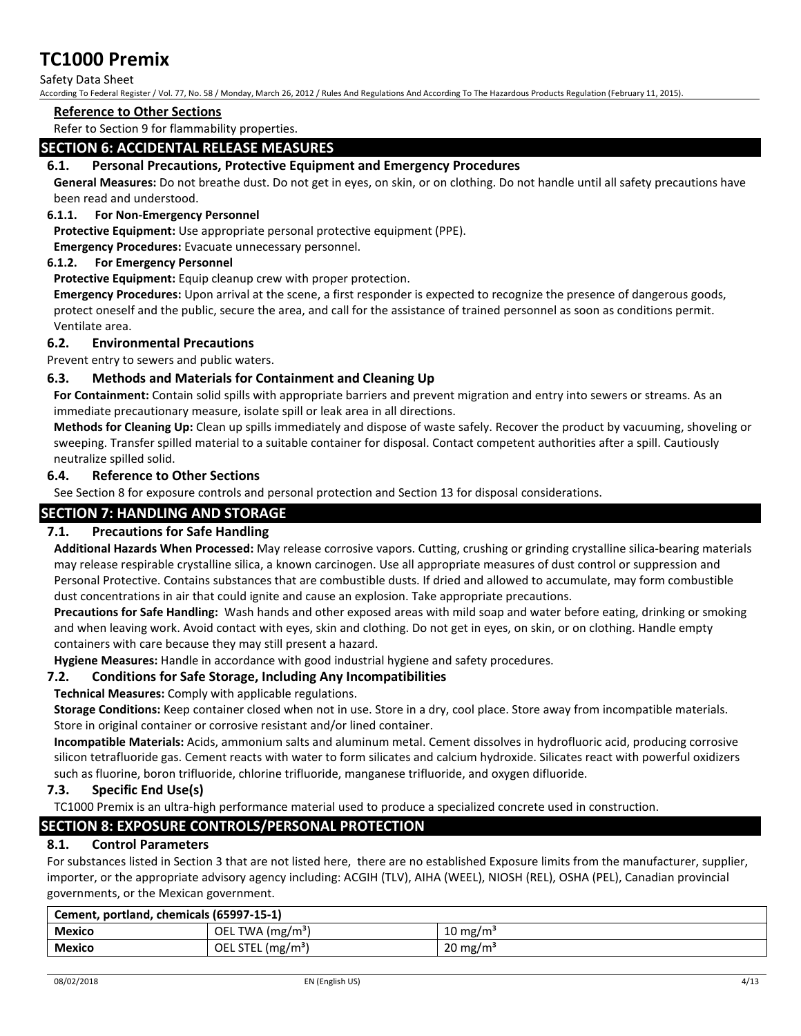### Safety Data Sheet

According To Federal Register / Vol. 77, No. 58 / Monday, March 26, 2012 / Rules And Regulations And According To The Hazardous Products Regulation (February 11, 2015).

### **Reference to Other Sections**

Refer to Section 9 for flammability properties.

## **SECTION 6: ACCIDENTAL RELEASE MEASURES**

### **6.1. Personal Precautions, Protective Equipment and Emergency Procedures**

**General Measures:** Do not breathe dust. Do not get in eyes, on skin, or on clothing. Do not handle until all safety precautions have been read and understood.

### **6.1.1. For Non-Emergency Personnel**

**Protective Equipment:** Use appropriate personal protective equipment (PPE).

**Emergency Procedures:** Evacuate unnecessary personnel.

### **6.1.2. For Emergency Personnel**

**Protective Equipment:** Equip cleanup crew with proper protection.

**Emergency Procedures:** Upon arrival at the scene, a first responder is expected to recognize the presence of dangerous goods, protect oneself and the public, secure the area, and call for the assistance of trained personnel as soon as conditions permit. Ventilate area.

### **6.2. Environmental Precautions**

Prevent entry to sewers and public waters.

### **6.3. Methods and Materials for Containment and Cleaning Up**

**For Containment:** Contain solid spills with appropriate barriers and prevent migration and entry into sewers or streams. As an immediate precautionary measure, isolate spill or leak area in all directions.

**Methods for Cleaning Up:** Clean up spills immediately and dispose of waste safely. Recover the product by vacuuming, shoveling or sweeping. Transfer spilled material to a suitable container for disposal. Contact competent authorities after a spill. Cautiously neutralize spilled solid.

### **6.4. Reference to Other Sections**

See Section 8 for exposure controls and personal protection and Section 13 for disposal considerations.

## **SECTION 7: HANDLING AND STORAGE**

### **7.1. Precautions for Safe Handling**

**Additional Hazards When Processed:** May release corrosive vapors. Cutting, crushing or grinding crystalline silica-bearing materials may release respirable crystalline silica, a known carcinogen. Use all appropriate measures of dust control or suppression and Personal Protective. Contains substances that are combustible dusts. If dried and allowed to accumulate, may form combustible dust concentrations in air that could ignite and cause an explosion. Take appropriate precautions.

**Precautions for Safe Handling:** Wash hands and other exposed areas with mild soap and water before eating, drinking or smoking and when leaving work. Avoid contact with eyes, skin and clothing. Do not get in eyes, on skin, or on clothing. Handle empty containers with care because they may still present a hazard.

**Hygiene Measures:** Handle in accordance with good industrial hygiene and safety procedures.

### **7.2. Conditions for Safe Storage, Including Any Incompatibilities**

**Technical Measures:** Comply with applicable regulations.

**Storage Conditions:** Keep container closed when not in use. Store in a dry, cool place. Store away from incompatible materials. Store in original container or corrosive resistant and/or lined container.

**Incompatible Materials:** Acids, ammonium salts and aluminum metal. Cement dissolves in hydrofluoric acid, producing corrosive silicon tetrafluoride gas. Cement reacts with water to form silicates and calcium hydroxide. Silicates react with powerful oxidizers such as fluorine, boron trifluoride, chlorine trifluoride, manganese trifluoride, and oxygen difluoride.

### **7.3. Specific End Use(s)**

TC1000 Premix is an ultra-high performance material used to produce a specialized concrete used in construction.

# **SECTION 8: EXPOSURE CONTROLS/PERSONAL PROTECTION**

### **8.1. Control Parameters**

For substances listed in Section 3 that are not listed here, there are no established Exposure limits from the manufacturer, supplier, importer, or the appropriate advisory agency including: ACGIH (TLV), AIHA (WEEL), NIOSH (REL), OSHA (PEL), Canadian provincial governments, or the Mexican government.

| Cement, portland, chemicals (65997-15-1) |                               |                     |
|------------------------------------------|-------------------------------|---------------------|
| Mexico                                   | OEL TWA $(mg/m3)$             | $10 \text{ mg/m}^3$ |
| <b>Mexico</b>                            | OEL STEL (mg/m <sup>3</sup> ) | $20 \text{ mg/m}^3$ |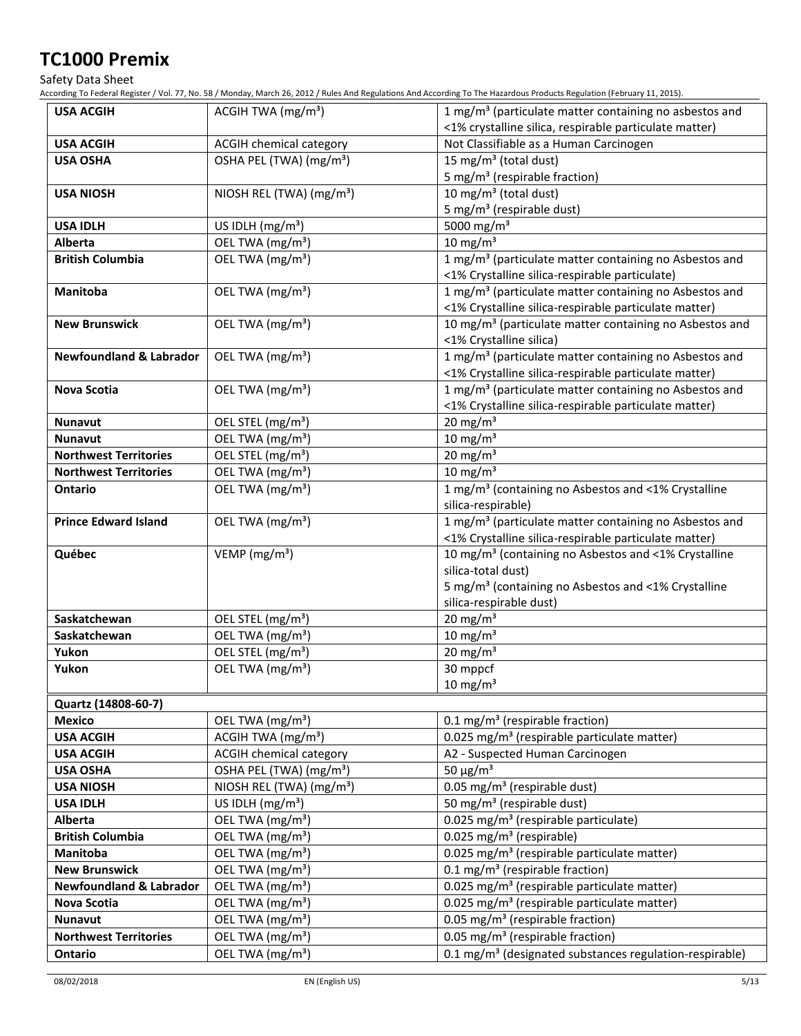Safety Data Sheet

According To Federal Register / Vol. 77, No. 58 / Monday, March 26, 2012 / Rules And Regulations And According To The Hazardous Products Regulation (February 11, 2015).

| <b>USA ACGIH</b>                   | ACGIH TWA (mg/m <sup>3</sup> )       | 1 mg/m <sup>3</sup> (particulate matter containing no asbestos and                                                                                                                   |
|------------------------------------|--------------------------------------|--------------------------------------------------------------------------------------------------------------------------------------------------------------------------------------|
|                                    |                                      | <1% crystalline silica, respirable particulate matter)                                                                                                                               |
| <b>USA ACGIH</b>                   | ACGIH chemical category              | Not Classifiable as a Human Carcinogen                                                                                                                                               |
| <b>USA OSHA</b>                    | OSHA PEL (TWA) (mg/m <sup>3</sup> )  | 15 mg/m <sup>3</sup> (total dust)                                                                                                                                                    |
|                                    |                                      | 5 mg/m <sup>3</sup> (respirable fraction)                                                                                                                                            |
| <b>USA NIOSH</b>                   | NIOSH REL (TWA) (mg/m <sup>3</sup> ) | 10 mg/m <sup>3</sup> (total dust)                                                                                                                                                    |
|                                    |                                      | 5 mg/m <sup>3</sup> (respirable dust)                                                                                                                                                |
| <b>USA IDLH</b>                    | US IDLH (mg/m <sup>3</sup> )         | 5000 mg/m <sup>3</sup>                                                                                                                                                               |
| Alberta                            | OEL TWA (mg/m <sup>3</sup> )         | $10 \text{ mg/m}^3$                                                                                                                                                                  |
| <b>British Columbia</b>            | OEL TWA (mg/m <sup>3</sup> )         | 1 mg/m <sup>3</sup> (particulate matter containing no Asbestos and<br><1% Crystalline silica-respirable particulate)                                                                 |
| <b>Manitoba</b>                    | OEL TWA (mg/m <sup>3</sup> )         | 1 mg/m <sup>3</sup> (particulate matter containing no Asbestos and                                                                                                                   |
|                                    |                                      | <1% Crystalline silica-respirable particulate matter)                                                                                                                                |
| <b>New Brunswick</b>               | OEL TWA (mg/m <sup>3</sup> )         | 10 mg/m <sup>3</sup> (particulate matter containing no Asbestos and<br><1% Crystalline silica)                                                                                       |
| <b>Newfoundland &amp; Labrador</b> | OEL TWA (mg/m <sup>3</sup> )         | 1 mg/m <sup>3</sup> (particulate matter containing no Asbestos and<br><1% Crystalline silica-respirable particulate matter)                                                          |
| Nova Scotia                        | OEL TWA (mg/m <sup>3</sup> )         | 1 mg/m <sup>3</sup> (particulate matter containing no Asbestos and                                                                                                                   |
|                                    |                                      | <1% Crystalline silica-respirable particulate matter)                                                                                                                                |
| <b>Nunavut</b>                     | OEL STEL (mg/m <sup>3</sup> )        | 20 mg/m $3$                                                                                                                                                                          |
| <b>Nunavut</b>                     | OEL TWA (mg/m <sup>3</sup> )         | $10 \text{ mg/m}^3$                                                                                                                                                                  |
| <b>Northwest Territories</b>       | OEL STEL (mg/m <sup>3</sup> )        | 20 mg/m $3$                                                                                                                                                                          |
| <b>Northwest Territories</b>       | OEL TWA (mg/m <sup>3</sup> )         | 10 mg/m $3$                                                                                                                                                                          |
| <b>Ontario</b>                     | OEL TWA (mg/m <sup>3</sup> )         | 1 mg/m <sup>3</sup> (containing no Asbestos and <1% Crystalline<br>silica-respirable)                                                                                                |
| <b>Prince Edward Island</b>        | OEL TWA (mg/m <sup>3</sup> )         | 1 mg/m <sup>3</sup> (particulate matter containing no Asbestos and<br><1% Crystalline silica-respirable particulate matter)                                                          |
| Québec                             | VEMP ( $mg/m3$ )                     | 10 mg/m <sup>3</sup> (containing no Asbestos and <1% Crystalline<br>silica-total dust)<br>5 mg/m <sup>3</sup> (containing no Asbestos and <1% Crystalline<br>silica-respirable dust) |
| Saskatchewan                       | OEL STEL (mg/m <sup>3</sup> )        | $20$ mg/m <sup>3</sup>                                                                                                                                                               |
| Saskatchewan                       | OEL TWA (mg/m <sup>3</sup> )         | $10 \text{ mg/m}^3$                                                                                                                                                                  |
| Yukon                              | OEL STEL (mg/m <sup>3</sup> )        | $20 \text{ mg/m}^3$                                                                                                                                                                  |
| Yukon                              | OEL TWA (mg/m <sup>3</sup> )         | 30 mppcf                                                                                                                                                                             |
|                                    |                                      | $10 \text{ mg/m}^3$                                                                                                                                                                  |
| Quartz (14808-60-7)                |                                      |                                                                                                                                                                                      |
| <b>Mexico</b>                      | OEL TWA (mg/m <sup>3</sup> )         | 0.1 mg/m <sup>3</sup> (respirable fraction)                                                                                                                                          |
| <b>USA ACGIH</b>                   | ACGIH TWA $(mg/m3)$                  | 0.025 mg/m <sup>3</sup> (respirable particulate matter)                                                                                                                              |
| <b>USA ACGIH</b>                   | <b>ACGIH chemical category</b>       | A2 - Suspected Human Carcinogen                                                                                                                                                      |
| <b>USA OSHA</b>                    | OSHA PEL (TWA) (mg/m <sup>3</sup> )  | 50 $\mu$ g/m <sup>3</sup>                                                                                                                                                            |
| <b>USA NIOSH</b>                   | NIOSH REL (TWA) (mg/m <sup>3</sup> ) | 0.05 mg/m <sup>3</sup> (respirable dust)                                                                                                                                             |
| <b>USA IDLH</b>                    | US IDLH $(mg/m3)$                    | 50 mg/m <sup>3</sup> (respirable dust)                                                                                                                                               |
| <b>Alberta</b>                     | OEL TWA (mg/m <sup>3</sup> )         | 0.025 mg/m <sup>3</sup> (respirable particulate)                                                                                                                                     |
| <b>British Columbia</b>            | OEL TWA (mg/m <sup>3</sup> )         | 0.025 mg/m <sup>3</sup> (respirable)                                                                                                                                                 |
| Manitoba                           | OEL TWA (mg/m <sup>3</sup> )         | 0.025 mg/m <sup>3</sup> (respirable particulate matter)                                                                                                                              |
| <b>New Brunswick</b>               | OEL TWA (mg/m <sup>3</sup> )         | 0.1 mg/m <sup>3</sup> (respirable fraction)                                                                                                                                          |
| <b>Newfoundland &amp; Labrador</b> | OEL TWA (mg/m <sup>3</sup> )         | 0.025 mg/m <sup>3</sup> (respirable particulate matter)                                                                                                                              |
| Nova Scotia                        | OEL TWA (mg/m <sup>3</sup> )         | 0.025 mg/m <sup>3</sup> (respirable particulate matter)                                                                                                                              |
| Nunavut                            | OEL TWA (mg/m <sup>3</sup> )         | 0.05 mg/m <sup>3</sup> (respirable fraction)                                                                                                                                         |
| <b>Northwest Territories</b>       | OEL TWA (mg/m <sup>3</sup> )         | 0.05 mg/m <sup>3</sup> (respirable fraction)                                                                                                                                         |
| Ontario                            | OEL TWA (mg/m <sup>3</sup> )         | 0.1 mg/m <sup>3</sup> (designated substances regulation-respirable)                                                                                                                  |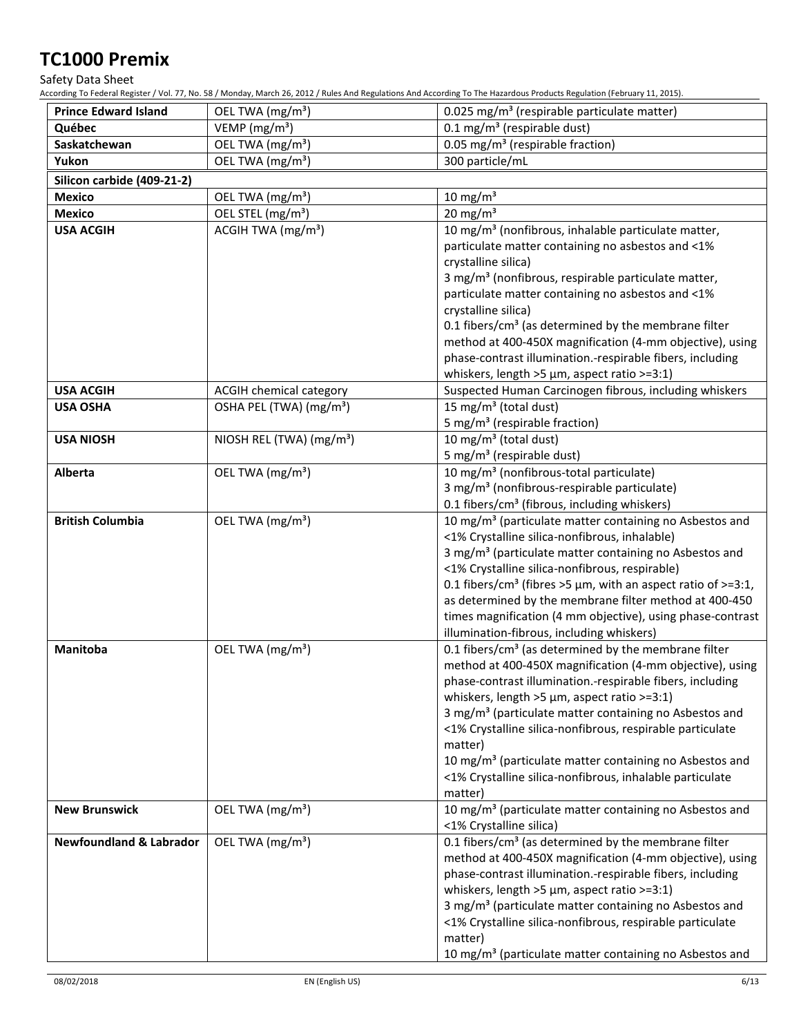Safety Data Sheet

According To Federal Register / Vol. 77, No. 58 / Monday, March 26, 2012 / Rules And Regulations And According To The Hazardous Products Regulation (February 11, 2015).

| <b>Prince Edward Island</b>        | OEL TWA (mg/m <sup>3</sup> )         | 0.025 mg/m <sup>3</sup> (respirable particulate matter)                                                                         |
|------------------------------------|--------------------------------------|---------------------------------------------------------------------------------------------------------------------------------|
| Québec                             | VEMP ( $mg/m3$ )                     | $0.1 \text{ mg/m}^3$ (respirable dust)                                                                                          |
| Saskatchewan                       | OEL TWA (mg/m <sup>3</sup> )         | 0.05 mg/m <sup>3</sup> (respirable fraction)                                                                                    |
| Yukon                              | OEL TWA (mg/m <sup>3</sup> )         | 300 particle/mL                                                                                                                 |
| Silicon carbide (409-21-2)         |                                      |                                                                                                                                 |
| <b>Mexico</b>                      | OEL TWA (mg/m <sup>3</sup> )         | $10 \text{ mg/m}^3$                                                                                                             |
| <b>Mexico</b>                      | OEL STEL (mg/m <sup>3</sup> )        | $20 \text{ mg/m}^3$                                                                                                             |
| <b>USA ACGIH</b>                   | ACGIH TWA (mg/m <sup>3</sup> )       | 10 mg/m <sup>3</sup> (nonfibrous, inhalable particulate matter,                                                                 |
|                                    |                                      | particulate matter containing no asbestos and <1%                                                                               |
|                                    |                                      | crystalline silica)                                                                                                             |
|                                    |                                      | 3 mg/m <sup>3</sup> (nonfibrous, respirable particulate matter,                                                                 |
|                                    |                                      | particulate matter containing no asbestos and <1%                                                                               |
|                                    |                                      | crystalline silica)                                                                                                             |
|                                    |                                      | 0.1 fibers/cm <sup>3</sup> (as determined by the membrane filter                                                                |
|                                    |                                      | method at 400-450X magnification (4-mm objective), using                                                                        |
|                                    |                                      | phase-contrast illumination.-respirable fibers, including                                                                       |
|                                    |                                      | whiskers, length >5 $\mu$ m, aspect ratio >=3:1)                                                                                |
| <b>USA ACGIH</b>                   | ACGIH chemical category              | Suspected Human Carcinogen fibrous, including whiskers                                                                          |
| <b>USA OSHA</b>                    | OSHA PEL (TWA) (mg/m <sup>3</sup> )  | 15 mg/m <sup>3</sup> (total dust)                                                                                               |
|                                    |                                      | 5 mg/m <sup>3</sup> (respirable fraction)                                                                                       |
| <b>USA NIOSH</b>                   | NIOSH REL (TWA) (mg/m <sup>3</sup> ) | 10 mg/m <sup>3</sup> (total dust)                                                                                               |
|                                    |                                      | 5 mg/m <sup>3</sup> (respirable dust)                                                                                           |
| Alberta                            | OEL TWA (mg/m <sup>3</sup> )         | 10 mg/m <sup>3</sup> (nonfibrous-total particulate)                                                                             |
|                                    |                                      | 3 mg/m <sup>3</sup> (nonfibrous-respirable particulate)                                                                         |
| <b>British Columbia</b>            | OEL TWA (mg/m <sup>3</sup> )         | 0.1 fibers/cm <sup>3</sup> (fibrous, including whiskers)<br>10 mg/m <sup>3</sup> (particulate matter containing no Asbestos and |
|                                    |                                      | <1% Crystalline silica-nonfibrous, inhalable)                                                                                   |
|                                    |                                      | 3 mg/m <sup>3</sup> (particulate matter containing no Asbestos and                                                              |
|                                    |                                      | <1% Crystalline silica-nonfibrous, respirable)                                                                                  |
|                                    |                                      | 0.1 fibers/cm <sup>3</sup> (fibres >5 $\mu$ m, with an aspect ratio of >=3:1,                                                   |
|                                    |                                      | as determined by the membrane filter method at 400-450                                                                          |
|                                    |                                      | times magnification (4 mm objective), using phase-contrast                                                                      |
|                                    |                                      | illumination-fibrous, including whiskers)                                                                                       |
| Manitoba                           | OEL TWA (mg/m <sup>3</sup> )         | 0.1 fibers/cm <sup>3</sup> (as determined by the membrane filter                                                                |
|                                    |                                      | method at 400-450X magnification (4-mm objective), using                                                                        |
|                                    |                                      | phase-contrast illumination.-respirable fibers, including                                                                       |
|                                    |                                      | whiskers, length $>5 \mu m$ , aspect ratio $>=3:1$ )                                                                            |
|                                    |                                      | 3 mg/m <sup>3</sup> (particulate matter containing no Asbestos and                                                              |
|                                    |                                      | <1% Crystalline silica-nonfibrous, respirable particulate                                                                       |
|                                    |                                      | matter)                                                                                                                         |
|                                    |                                      | 10 mg/m <sup>3</sup> (particulate matter containing no Asbestos and                                                             |
|                                    |                                      | <1% Crystalline silica-nonfibrous, inhalable particulate                                                                        |
|                                    |                                      | matter)                                                                                                                         |
| <b>New Brunswick</b>               | OEL TWA (mg/m <sup>3</sup> )         | 10 mg/m <sup>3</sup> (particulate matter containing no Asbestos and                                                             |
| <b>Newfoundland &amp; Labrador</b> | OEL TWA (mg/m <sup>3</sup> )         | <1% Crystalline silica)                                                                                                         |
|                                    |                                      | 0.1 fibers/cm <sup>3</sup> (as determined by the membrane filter<br>method at 400-450X magnification (4-mm objective), using    |
|                                    |                                      | phase-contrast illumination.-respirable fibers, including                                                                       |
|                                    |                                      | whiskers, length $>5 \mu m$ , aspect ratio $>=3:1$ )                                                                            |
|                                    |                                      | 3 mg/m <sup>3</sup> (particulate matter containing no Asbestos and                                                              |
|                                    |                                      | <1% Crystalline silica-nonfibrous, respirable particulate                                                                       |
|                                    |                                      | matter)                                                                                                                         |
|                                    |                                      | 10 mg/m <sup>3</sup> (particulate matter containing no Asbestos and                                                             |
|                                    |                                      |                                                                                                                                 |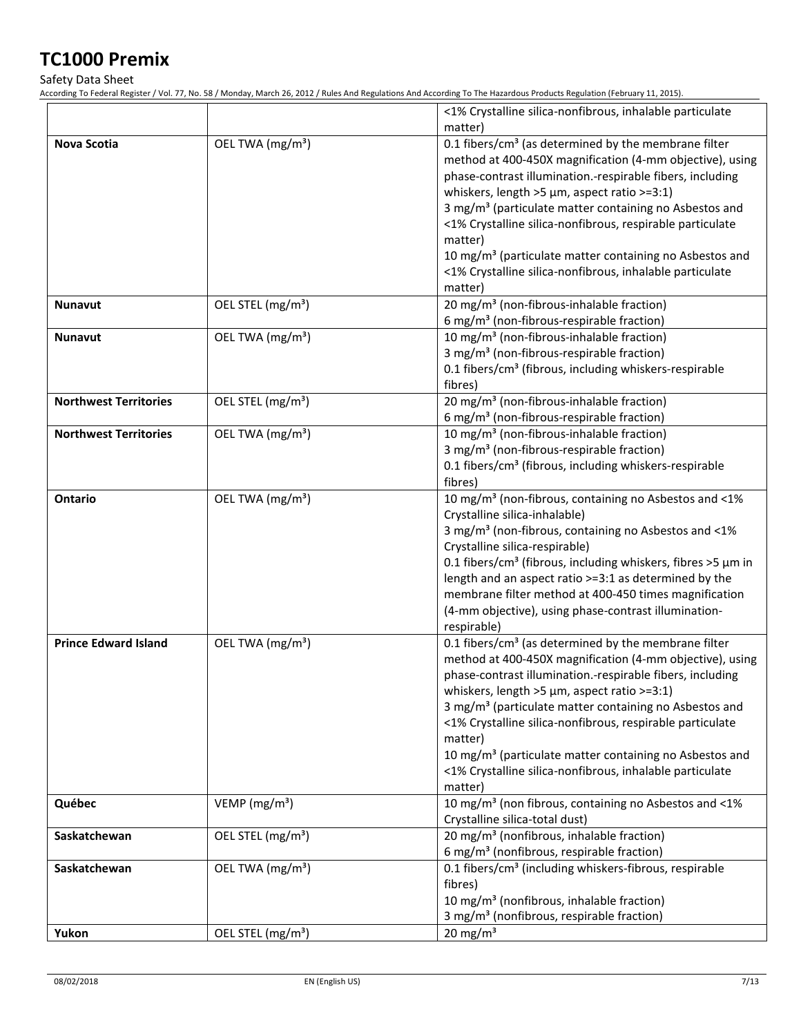Safety Data Sheet

According To Federal Register / Vol. 77, No. 58 / Monday, March 26, 2012 / Rules And Regulations And According To The Hazardous Products Regulation (February 11, 2015).

|                              |                               | <1% Crystalline silica-nonfibrous, inhalable particulate<br>matter)           |
|------------------------------|-------------------------------|-------------------------------------------------------------------------------|
|                              |                               |                                                                               |
| <b>Nova Scotia</b>           | OEL TWA (mg/m <sup>3</sup> )  | 0.1 fibers/cm <sup>3</sup> (as determined by the membrane filter              |
|                              |                               | method at 400-450X magnification (4-mm objective), using                      |
|                              |                               | phase-contrast illumination.-respirable fibers, including                     |
|                              |                               | whiskers, length >5 $\mu$ m, aspect ratio >=3:1)                              |
|                              |                               | 3 mg/m <sup>3</sup> (particulate matter containing no Asbestos and            |
|                              |                               | <1% Crystalline silica-nonfibrous, respirable particulate                     |
|                              |                               | matter)                                                                       |
|                              |                               | 10 mg/m <sup>3</sup> (particulate matter containing no Asbestos and           |
|                              |                               | <1% Crystalline silica-nonfibrous, inhalable particulate                      |
|                              |                               | matter)                                                                       |
| <b>Nunavut</b>               | OEL STEL (mg/m <sup>3</sup> ) | 20 mg/m <sup>3</sup> (non-fibrous-inhalable fraction)                         |
|                              |                               | 6 mg/m <sup>3</sup> (non-fibrous-respirable fraction)                         |
| <b>Nunavut</b>               | OEL TWA (mg/m <sup>3</sup> )  | 10 mg/m <sup>3</sup> (non-fibrous-inhalable fraction)                         |
|                              |                               | 3 mg/m <sup>3</sup> (non-fibrous-respirable fraction)                         |
|                              |                               | 0.1 fibers/cm <sup>3</sup> (fibrous, including whiskers-respirable            |
|                              |                               |                                                                               |
|                              |                               | fibres)                                                                       |
| <b>Northwest Territories</b> | OEL STEL (mg/m <sup>3</sup> ) | 20 mg/m <sup>3</sup> (non-fibrous-inhalable fraction)                         |
|                              |                               | 6 mg/m <sup>3</sup> (non-fibrous-respirable fraction)                         |
| <b>Northwest Territories</b> | OEL TWA (mg/m <sup>3</sup> )  | 10 mg/m <sup>3</sup> (non-fibrous-inhalable fraction)                         |
|                              |                               | 3 mg/m <sup>3</sup> (non-fibrous-respirable fraction)                         |
|                              |                               | 0.1 fibers/cm <sup>3</sup> (fibrous, including whiskers-respirable            |
|                              |                               | fibres)                                                                       |
| <b>Ontario</b>               | OEL TWA (mg/m <sup>3</sup> )  | 10 mg/m <sup>3</sup> (non-fibrous, containing no Asbestos and <1%             |
|                              |                               | Crystalline silica-inhalable)                                                 |
|                              |                               | 3 mg/m <sup>3</sup> (non-fibrous, containing no Asbestos and <1%              |
|                              |                               | Crystalline silica-respirable)                                                |
|                              |                               | 0.1 fibers/cm <sup>3</sup> (fibrous, including whiskers, fibres >5 $\mu$ m in |
|                              |                               | length and an aspect ratio >=3:1 as determined by the                         |
|                              |                               | membrane filter method at 400-450 times magnification                         |
|                              |                               | (4-mm objective), using phase-contrast illumination-                          |
|                              |                               | respirable)                                                                   |
| <b>Prince Edward Island</b>  | OEL TWA (mg/m <sup>3</sup> )  | 0.1 fibers/cm <sup>3</sup> (as determined by the membrane filter              |
|                              |                               | method at 400-450X magnification (4-mm objective), using                      |
|                              |                               | phase-contrast illumination.-respirable fibers, including                     |
|                              |                               | whiskers, length $>5 \mu$ m, aspect ratio $>=3:1$ )                           |
|                              |                               | 3 mg/m <sup>3</sup> (particulate matter containing no Asbestos and            |
|                              |                               | <1% Crystalline silica-nonfibrous, respirable particulate                     |
|                              |                               |                                                                               |
|                              |                               | matter)                                                                       |
|                              |                               | 10 mg/m <sup>3</sup> (particulate matter containing no Asbestos and           |
|                              |                               | <1% Crystalline silica-nonfibrous, inhalable particulate                      |
|                              |                               | matter)                                                                       |
| Québec                       | VEMP ( $mg/m3$ )              | 10 mg/m <sup>3</sup> (non fibrous, containing no Asbestos and <1%             |
|                              |                               | Crystalline silica-total dust)                                                |
| Saskatchewan                 | OEL STEL (mg/m <sup>3</sup> ) | 20 mg/m <sup>3</sup> (nonfibrous, inhalable fraction)                         |
|                              |                               | 6 mg/m <sup>3</sup> (nonfibrous, respirable fraction)                         |
| Saskatchewan                 | OEL TWA (mg/m <sup>3</sup> )  | 0.1 fibers/cm <sup>3</sup> (including whiskers-fibrous, respirable            |
|                              |                               | fibres)                                                                       |
|                              |                               | 10 mg/m <sup>3</sup> (nonfibrous, inhalable fraction)                         |
|                              |                               | 3 mg/m <sup>3</sup> (nonfibrous, respirable fraction)                         |
| Yukon                        | OEL STEL (mg/m <sup>3</sup> ) | 20 mg/m $3$                                                                   |
|                              |                               |                                                                               |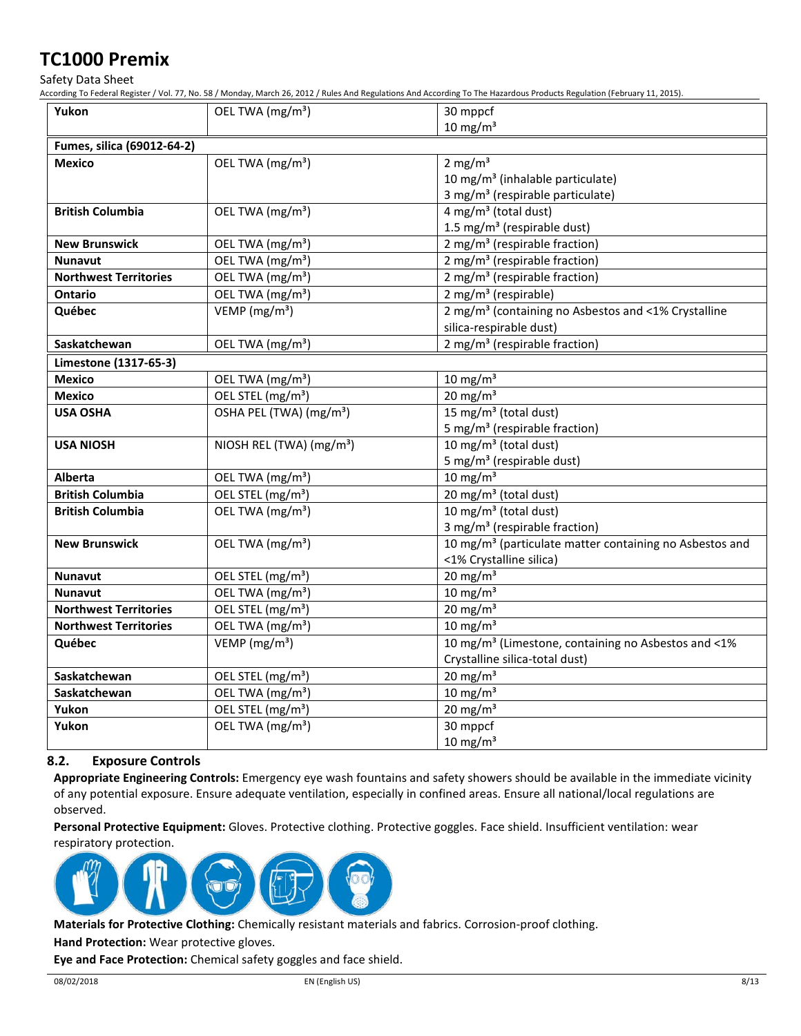Safety Data Sheet

According To Federal Register / Vol. 77, No. 58 / Monday, March 26, 2012 / Rules And Regulations And According To The Hazardous Products Regulation (February 11, 2015).

| Yukon                        | OEL TWA (mg/m <sup>3</sup> )         | 30 mppcf                                                            |
|------------------------------|--------------------------------------|---------------------------------------------------------------------|
|                              |                                      | $10 \text{ mg/m}^3$                                                 |
| Fumes, silica (69012-64-2)   |                                      |                                                                     |
| <b>Mexico</b>                | OEL TWA (mg/m <sup>3</sup> )         | 2 mg/m <sup>3</sup>                                                 |
|                              |                                      | 10 mg/m <sup>3</sup> (inhalable particulate)                        |
|                              |                                      | 3 mg/m <sup>3</sup> (respirable particulate)                        |
| <b>British Columbia</b>      | OEL TWA (mg/m <sup>3</sup> )         | $4$ mg/m <sup>3</sup> (total dust)                                  |
|                              |                                      | 1.5 mg/m <sup>3</sup> (respirable dust)                             |
| <b>New Brunswick</b>         | OEL TWA (mg/m <sup>3</sup> )         | 2 mg/m <sup>3</sup> (respirable fraction)                           |
| <b>Nunavut</b>               | OEL TWA (mg/m <sup>3</sup> )         | 2 mg/m <sup>3</sup> (respirable fraction)                           |
| <b>Northwest Territories</b> | OEL TWA (mg/m <sup>3</sup> )         | 2 mg/m <sup>3</sup> (respirable fraction)                           |
| <b>Ontario</b>               | OEL TWA (mg/m <sup>3</sup> )         | $2$ mg/m <sup>3</sup> (respirable)                                  |
| Québec                       | VEMP ( $mg/m3$ )                     | 2 mg/m <sup>3</sup> (containing no Asbestos and <1% Crystalline     |
|                              |                                      | silica-respirable dust)                                             |
| Saskatchewan                 | OEL TWA (mg/m <sup>3</sup> )         | 2 mg/m <sup>3</sup> (respirable fraction)                           |
| Limestone (1317-65-3)        |                                      |                                                                     |
| <b>Mexico</b>                | OEL TWA (mg/m <sup>3</sup> )         | $10 \text{ mg/m}^3$                                                 |
| <b>Mexico</b>                | OEL STEL (mg/m <sup>3</sup> )        | $20 \text{ mg/m}^3$                                                 |
| <b>USA OSHA</b>              | OSHA PEL (TWA) (mg/m <sup>3</sup> )  | 15 mg/m <sup>3</sup> (total dust)                                   |
|                              |                                      | 5 mg/m <sup>3</sup> (respirable fraction)                           |
| <b>USA NIOSH</b>             | NIOSH REL (TWA) (mg/m <sup>3</sup> ) | 10 mg/m <sup>3</sup> (total dust)                                   |
|                              |                                      | 5 mg/m <sup>3</sup> (respirable dust)                               |
| <b>Alberta</b>               | OEL TWA (mg/m <sup>3</sup> )         | $10 \text{ mg/m}^3$                                                 |
| <b>British Columbia</b>      | OEL STEL (mg/m <sup>3</sup> )        | $\overline{20}$ mg/m <sup>3</sup> (total dust)                      |
| <b>British Columbia</b>      | OEL TWA (mg/m <sup>3</sup> )         | 10 mg/m <sup>3</sup> (total dust)                                   |
|                              |                                      | 3 mg/m <sup>3</sup> (respirable fraction)                           |
| <b>New Brunswick</b>         | OEL TWA (mg/m <sup>3</sup> )         | 10 mg/m <sup>3</sup> (particulate matter containing no Asbestos and |
|                              |                                      | <1% Crystalline silica)                                             |
| <b>Nunavut</b>               | OEL STEL (mg/m <sup>3</sup> )        | 20 mg/m $3$                                                         |
| <b>Nunavut</b>               | OEL TWA (mg/m <sup>3</sup> )         | 10 mg/m $^3$                                                        |
| <b>Northwest Territories</b> | OEL STEL (mg/m <sup>3</sup> )        | $20 \text{ mg/m}^3$                                                 |
| <b>Northwest Territories</b> | OEL TWA (mg/m <sup>3</sup> )         | 10 mg/m $3$                                                         |
| Québec                       | VEMP ( $mg/m3$ )                     | 10 mg/m <sup>3</sup> (Limestone, containing no Asbestos and <1%     |
|                              |                                      | Crystalline silica-total dust)                                      |
| Saskatchewan                 | OEL STEL (mg/m <sup>3</sup> )        | $20 \text{ mg/m}^3$                                                 |
| Saskatchewan                 | OEL TWA (mg/m <sup>3</sup> )         | $10$ mg/m <sup>3</sup>                                              |
| Yukon                        | OEL STEL (mg/m <sup>3</sup> )        | $20 \text{ mg/m}^3$                                                 |
| Yukon                        | OEL TWA (mg/m <sup>3</sup> )         | 30 mppcf                                                            |
|                              |                                      | $10 \text{ mg/m}^3$                                                 |

# **8.2. Exposure Controls**

**Appropriate Engineering Controls:** Emergency eye wash fountains and safety showers should be available in the immediate vicinity of any potential exposure. Ensure adequate ventilation, especially in confined areas. Ensure all national/local regulations are observed.

**Personal Protective Equipment:** Gloves. Protective clothing. Protective goggles. Face shield. Insufficient ventilation: wear respiratory protection.



**Materials for Protective Clothing:** Chemically resistant materials and fabrics. Corrosion-proof clothing.

**Hand Protection:** Wear protective gloves.

**Eye and Face Protection:** Chemical safety goggles and face shield.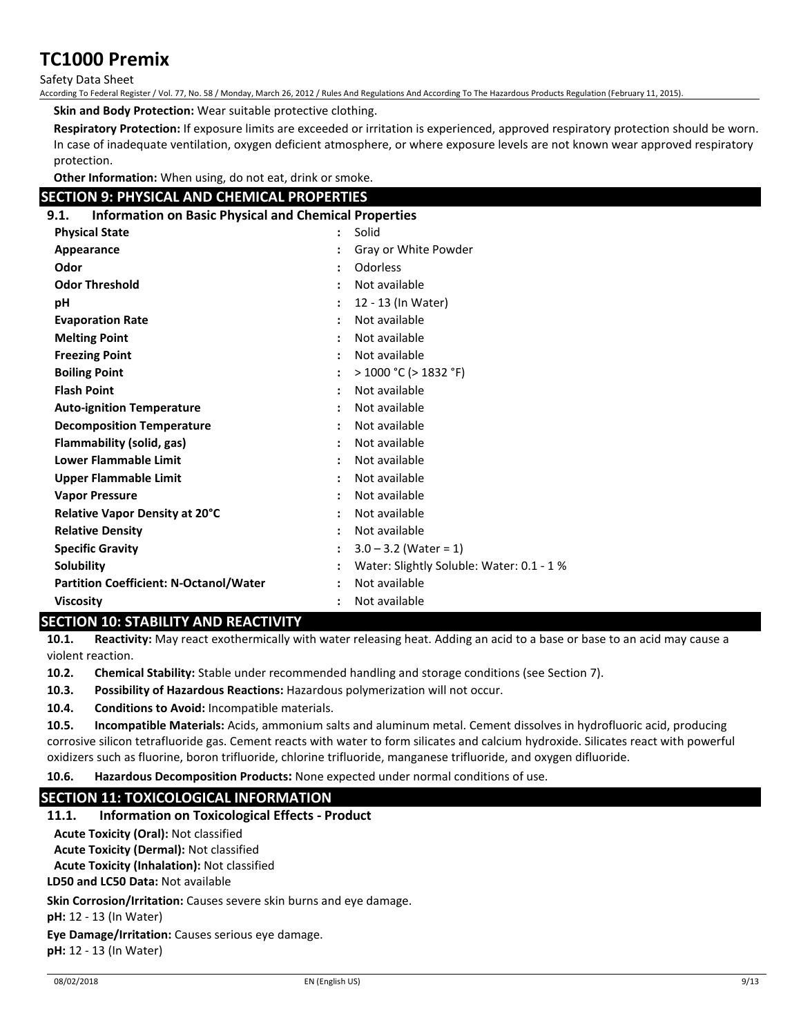Safety Data Sheet

According To Federal Register / Vol. 77, No. 58 / Monday, March 26, 2012 / Rules And Regulations And According To The Hazardous Products Regulation (February 11, 2015).

**Skin and Body Protection:** Wear suitable protective clothing.

**Respiratory Protection:** If exposure limits are exceeded or irritation is experienced, approved respiratory protection should be worn. In case of inadequate ventilation, oxygen deficient atmosphere, or where exposure levels are not known wear approved respiratory protection.

**Other Information:** When using, do not eat, drink or smoke.

# **SECTION 9: PHYSICAL AND CHEMICAL PROPERTIES**

# **9.1. Information on Basic Physical and Chemical Properties**

| フ・エ・<br><u>milumation un basic rinysical and chemical ribbelities</u> |                                           |  |  |  |
|-----------------------------------------------------------------------|-------------------------------------------|--|--|--|
| <b>Physical State</b>                                                 | Solid                                     |  |  |  |
| Appearance                                                            | Gray or White Powder                      |  |  |  |
| Odor                                                                  | Odorless                                  |  |  |  |
| <b>Odor Threshold</b>                                                 | Not available                             |  |  |  |
| рH                                                                    | 12 - 13 (In Water)                        |  |  |  |
| <b>Evaporation Rate</b>                                               | Not available                             |  |  |  |
| <b>Melting Point</b>                                                  | Not available                             |  |  |  |
| <b>Freezing Point</b>                                                 | Not available                             |  |  |  |
| <b>Boiling Point</b>                                                  | $>$ 1000 °C ( $>$ 1832 °F)                |  |  |  |
| <b>Flash Point</b>                                                    | Not available                             |  |  |  |
| <b>Auto-ignition Temperature</b>                                      | Not available                             |  |  |  |
| <b>Decomposition Temperature</b>                                      | Not available                             |  |  |  |
| Flammability (solid, gas)                                             | Not available                             |  |  |  |
| <b>Lower Flammable Limit</b>                                          | Not available                             |  |  |  |
| <b>Upper Flammable Limit</b>                                          | Not available                             |  |  |  |
| <b>Vapor Pressure</b>                                                 | Not available                             |  |  |  |
| <b>Relative Vapor Density at 20°C</b>                                 | Not available                             |  |  |  |
| <b>Relative Density</b>                                               | Not available                             |  |  |  |
| <b>Specific Gravity</b>                                               | $3.0 - 3.2$ (Water = 1)                   |  |  |  |
| Solubility                                                            | Water: Slightly Soluble: Water: 0.1 - 1 % |  |  |  |
| <b>Partition Coefficient: N-Octanol/Water</b>                         | Not available                             |  |  |  |
| <b>Viscosity</b>                                                      | Not available                             |  |  |  |

# **SECTION 10: STABILITY AND REACTIVITY**

**10.1. Reactivity:** May react exothermically with water releasing heat. Adding an acid to a base or base to an acid may cause a violent reaction.

**10.2. Chemical Stability:** Stable under recommended handling and storage conditions (see Section 7).

**10.3. Possibility of Hazardous Reactions:** Hazardous polymerization will not occur.

**10.4. Conditions to Avoid:** Incompatible materials.

**10.5. Incompatible Materials:** Acids, ammonium salts and aluminum metal. Cement dissolves in hydrofluoric acid, producing corrosive silicon tetrafluoride gas. Cement reacts with water to form silicates and calcium hydroxide. Silicates react with powerful oxidizers such as fluorine, boron trifluoride, chlorine trifluoride, manganese trifluoride, and oxygen difluoride.

**10.6. Hazardous Decomposition Products:** None expected under normal conditions of use.

# **SECTION 11: TOXICOLOGICAL INFORMATION**

**11.1. Information on Toxicological Effects - Product**

**Acute Toxicity (Oral):** Not classified

**Acute Toxicity (Dermal):** Not classified

**Acute Toxicity (Inhalation):** Not classified

**LD50 and LC50 Data:** Not available

**Skin Corrosion/Irritation:** Causes severe skin burns and eye damage.

**pH:** 12 - 13 (In Water)

**Eye Damage/Irritation:** Causes serious eye damage.

**pH:** 12 - 13 (In Water)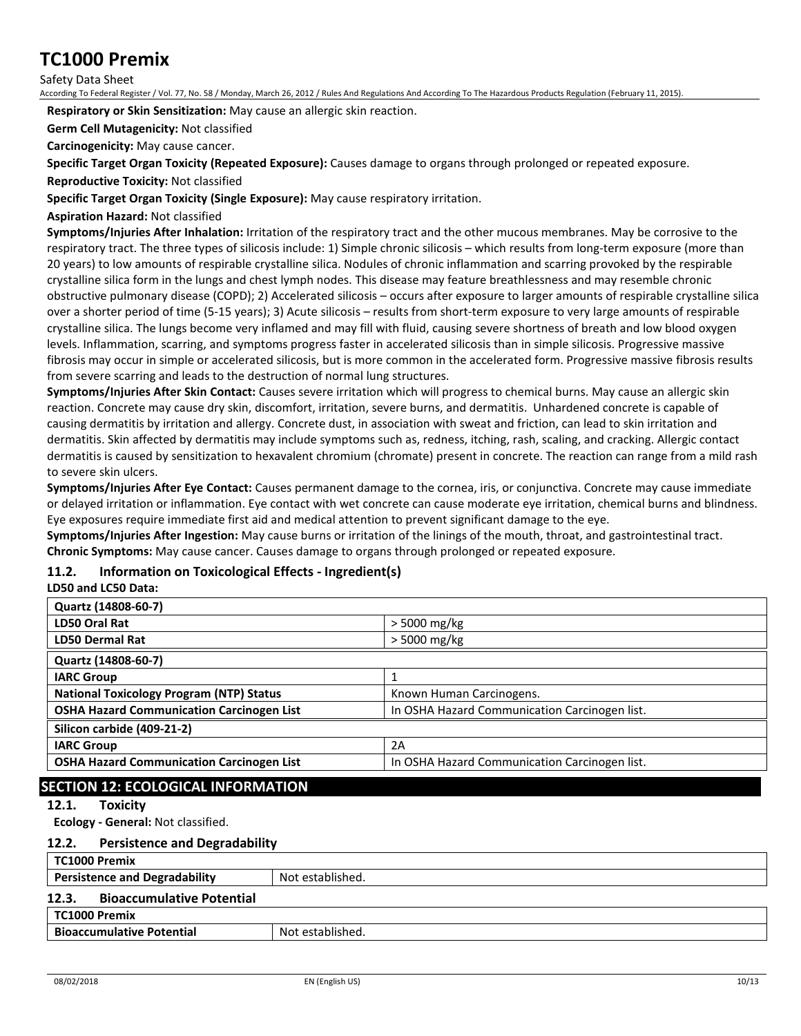Safety Data Sheet

According To Federal Register / Vol. 77, No. 58 / Monday, March 26, 2012 / Rules And Regulations And According To The Hazardous Products Regulation (February 11, 2015).

**Respiratory or Skin Sensitization:** May cause an allergic skin reaction.

**Germ Cell Mutagenicity:** Not classified

**Carcinogenicity:** May cause cancer.

**Specific Target Organ Toxicity (Repeated Exposure):** Causes damage to organs through prolonged or repeated exposure.

**Reproductive Toxicity:** Not classified

**Specific Target Organ Toxicity (Single Exposure):** May cause respiratory irritation.

### **Aspiration Hazard:** Not classified

**Symptoms/Injuries After Inhalation:** Irritation of the respiratory tract and the other mucous membranes. May be corrosive to the respiratory tract. The three types of silicosis include: 1) Simple chronic silicosis – which results from long-term exposure (more than 20 years) to low amounts of respirable crystalline silica. Nodules of chronic inflammation and scarring provoked by the respirable crystalline silica form in the lungs and chest lymph nodes. This disease may feature breathlessness and may resemble chronic obstructive pulmonary disease (COPD); 2) Accelerated silicosis – occurs after exposure to larger amounts of respirable crystalline silica over a shorter period of time (5-15 years); 3) Acute silicosis – results from short-term exposure to very large amounts of respirable crystalline silica. The lungs become very inflamed and may fill with fluid, causing severe shortness of breath and low blood oxygen levels. Inflammation, scarring, and symptoms progress faster in accelerated silicosis than in simple silicosis. Progressive massive fibrosis may occur in simple or accelerated silicosis, but is more common in the accelerated form. Progressive massive fibrosis results from severe scarring and leads to the destruction of normal lung structures.

**Symptoms/Injuries After Skin Contact:** Causes severe irritation which will progress to chemical burns. May cause an allergic skin reaction. Concrete may cause dry skin, discomfort, irritation, severe burns, and dermatitis. Unhardened concrete is capable of causing dermatitis by irritation and allergy. Concrete dust, in association with sweat and friction, can lead to skin irritation and dermatitis. Skin affected by dermatitis may include symptoms such as, redness, itching, rash, scaling, and cracking. Allergic contact dermatitis is caused by sensitization to hexavalent chromium (chromate) present in concrete. The reaction can range from a mild rash to severe skin ulcers.

**Symptoms/Injuries After Eye Contact:** Causes permanent damage to the cornea, iris, or conjunctiva. Concrete may cause immediate or delayed irritation or inflammation. Eye contact with wet concrete can cause moderate eye irritation, chemical burns and blindness. Eye exposures require immediate first aid and medical attention to prevent significant damage to the eye.

**Symptoms/Injuries After Ingestion:** May cause burns or irritation of the linings of the mouth, throat, and gastrointestinal tract. **Chronic Symptoms:** May cause cancer. Causes damage to organs through prolonged or repeated exposure.

### **11.2. Information on Toxicological Effects - Ingredient(s)**

**LD50 and LC50 Data:**

| Quartz (14808-60-7)                              |                                               |
|--------------------------------------------------|-----------------------------------------------|
| <b>LD50 Oral Rat</b>                             | $>$ 5000 mg/kg                                |
| <b>LD50 Dermal Rat</b>                           | $>$ 5000 mg/kg                                |
| Quartz (14808-60-7)                              |                                               |
| <b>IARC Group</b>                                |                                               |
| <b>National Toxicology Program (NTP) Status</b>  | Known Human Carcinogens.                      |
| <b>OSHA Hazard Communication Carcinogen List</b> | In OSHA Hazard Communication Carcinogen list. |
| Silicon carbide (409-21-2)                       |                                               |
| <b>IARC Group</b>                                | 2A                                            |
| <b>OSHA Hazard Communication Carcinogen List</b> | In OSHA Hazard Communication Carcinogen list. |

# **SECTION 12: ECOLOGICAL INFORMATION**

### **12.1. Toxicity**

**Ecology - General:** Not classified.

#### **12.2. Persistence and Degradability**

| TC1000 Premix                             |                  |
|-------------------------------------------|------------------|
| <b>Persistence and Degradability</b>      | Not established. |
| 12.3.<br><b>Bioaccumulative Potential</b> |                  |
| TC1000 Premix                             |                  |
| <b>Bioaccumulative Potential</b>          | Not established. |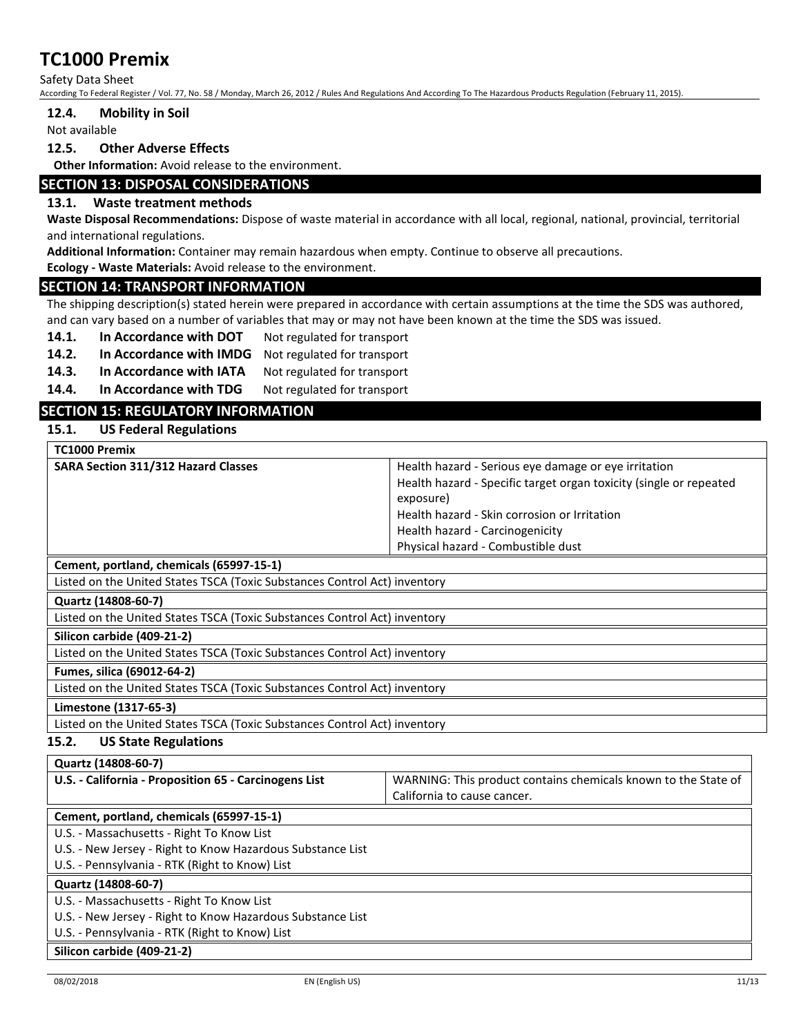Safety Data Sheet

According To Federal Register / Vol. 77, No. 58 / Monday, March 26, 2012 / Rules And Regulations And According To The Hazardous Products Regulation (February 11, 2015).

#### **12.4. Mobility in Soil**

Not available

#### **12.5. Other Adverse Effects**

**Other Information:** Avoid release to the environment.

### **SECTION 13: DISPOSAL CONSIDERATIONS**

### **13.1. Waste treatment methods**

**Waste Disposal Recommendations:** Dispose of waste material in accordance with all local, regional, national, provincial, territorial and international regulations.

**Additional Information:** Container may remain hazardous when empty. Continue to observe all precautions.

**Ecology - Waste Materials:** Avoid release to the environment.

### **SECTION 14: TRANSPORT INFORMATION**

The shipping description(s) stated herein were prepared in accordance with certain assumptions at the time the SDS was authored, and can vary based on a number of variables that may or may not have been known at the time the SDS was issued.

14.1. In Accordance with DOT Not regulated for transport

- **14.2. In Accordance with IMDG** Not regulated for transport
- 14.3. In Accordance with IATA Not regulated for transport

14.4. In Accordance with TDG Not regulated for transport

# **SECTION 15: REGULATORY INFORMATION**

**15.1. US Federal Regulations**

| TC1000 Premix                              |                                                                    |
|--------------------------------------------|--------------------------------------------------------------------|
| <b>SARA Section 311/312 Hazard Classes</b> | Health hazard - Serious eye damage or eye irritation               |
|                                            | Health hazard - Specific target organ toxicity (single or repeated |
|                                            | exposure)                                                          |
|                                            | Health hazard - Skin corrosion or Irritation                       |
|                                            | Health hazard - Carcinogenicity                                    |
|                                            | Physical hazard - Combustible dust                                 |

**Cement, portland, chemicals (65997-15-1)**

Listed on the United States TSCA (Toxic Substances Control Act) inventory

#### **Quartz (14808-60-7)**

Listed on the United States TSCA (Toxic Substances Control Act) inventory

#### **Silicon carbide (409-21-2)**

Listed on the United States TSCA (Toxic Substances Control Act) inventory

#### **Fumes, silica (69012-64-2)**

Listed on the United States TSCA (Toxic Substances Control Act) inventory

#### **Limestone (1317-65-3)**

Listed on the United States TSCA (Toxic Substances Control Act) inventory

### **15.2. US State Regulations**

| Quartz (14808-60-7)                                        |                                                                |  |
|------------------------------------------------------------|----------------------------------------------------------------|--|
| U.S. - California - Proposition 65 - Carcinogens List      | WARNING: This product contains chemicals known to the State of |  |
|                                                            | California to cause cancer.                                    |  |
| Cement, portland, chemicals (65997-15-1)                   |                                                                |  |
| U.S. - Massachusetts - Right To Know List                  |                                                                |  |
| U.S. - New Jersey - Right to Know Hazardous Substance List |                                                                |  |
| U.S. - Pennsylvania - RTK (Right to Know) List             |                                                                |  |
| Quartz (14808-60-7)                                        |                                                                |  |
| U.S. - Massachusetts - Right To Know List                  |                                                                |  |
| U.S. - New Jersey - Right to Know Hazardous Substance List |                                                                |  |
| U.S. - Pennsylvania - RTK (Right to Know) List             |                                                                |  |
| Silicon carbide (409-21-2)                                 |                                                                |  |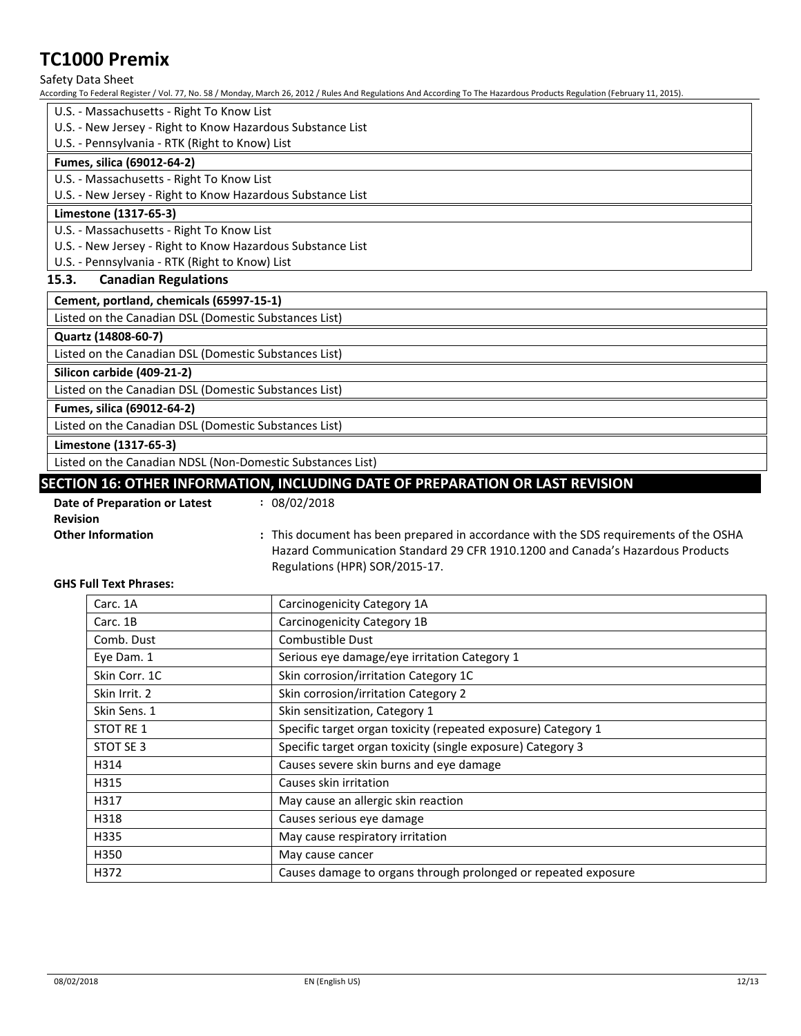Safety Data Sheet

According To Federal Register / Vol. 77, No. 58 / Monday, March 26, 2012 / Rules And Regulations And According To The Hazardous Products Regulation (February 11, 2015).

- U.S. Massachusetts Right To Know List
- U.S. New Jersey Right to Know Hazardous Substance List
- U.S. Pennsylvania RTK (Right to Know) List

### **Fumes, silica (69012-64-2)**

U.S. - Massachusetts - Right To Know List

U.S. - New Jersey - Right to Know Hazardous Substance List

### **Limestone (1317-65-3)**

U.S. - Massachusetts - Right To Know List

U.S. - New Jersey - Right to Know Hazardous Substance List

U.S. - Pennsylvania - RTK (Right to Know) List

### **15.3. Canadian Regulations**

**Cement, portland, chemicals (65997-15-1)**

Listed on the Canadian DSL (Domestic Substances List)

### **Quartz (14808-60-7)**

Listed on the Canadian DSL (Domestic Substances List)

**Silicon carbide (409-21-2)**

Listed on the Canadian DSL (Domestic Substances List)

**Fumes, silica (69012-64-2)**

Listed on the Canadian DSL (Domestic Substances List)

**Limestone (1317-65-3)**

Listed on the Canadian NDSL (Non-Domestic Substances List)

### **SECTION 16: OTHER INFORMATION, INCLUDING DATE OF PREPARATION OR LAST REVISION**

- **Date of Preparation or Latest Revision :** 08/02/2018
	-

**Other Information 1998 :** This document has been prepared in accordance with the SDS requirements of the OSHA Hazard Communication Standard 29 CFR 1910.1200 and Canada's Hazardous Products Regulations (HPR) SOR/2015-17.

#### **GHS Full Text Phrases:**

| Carc. 1A      | Carcinogenicity Category 1A                                    |
|---------------|----------------------------------------------------------------|
| Carc. 1B      | Carcinogenicity Category 1B                                    |
| Comb. Dust    | Combustible Dust                                               |
| Eye Dam. 1    | Serious eye damage/eye irritation Category 1                   |
| Skin Corr. 1C | Skin corrosion/irritation Category 1C                          |
| Skin Irrit. 2 | Skin corrosion/irritation Category 2                           |
| Skin Sens. 1  | Skin sensitization, Category 1                                 |
| STOT RE 1     | Specific target organ toxicity (repeated exposure) Category 1  |
| STOT SE 3     | Specific target organ toxicity (single exposure) Category 3    |
| H314          | Causes severe skin burns and eye damage                        |
| H315          | Causes skin irritation                                         |
| H317          | May cause an allergic skin reaction                            |
| H318          | Causes serious eye damage                                      |
| H335          | May cause respiratory irritation                               |
| H350          | May cause cancer                                               |
| H372          | Causes damage to organs through prolonged or repeated exposure |
|               |                                                                |